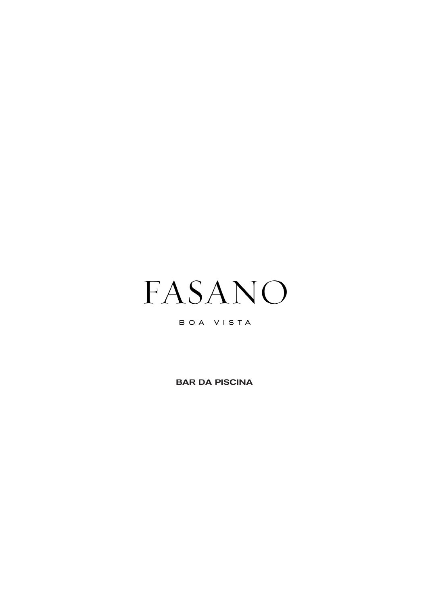

# BOA VISTA

BAR DA PISCINA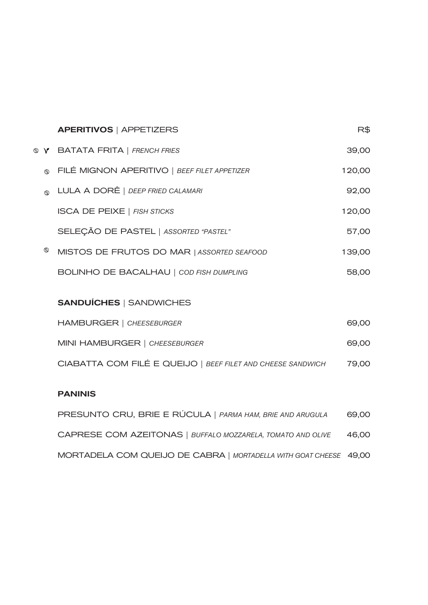|   | <b>APERITIVOS   APPETIZERS</b>                              | R\$    |
|---|-------------------------------------------------------------|--------|
|   | <b>W Y BATATA FRITA</b>   FRENCH FRIES                      | 39,00  |
| ൈ | FILÉ MIGNON APERITIVO   BEEF FILET APPETIZER                | 120,00 |
| ത | LULA A DORÊ   DEEP FRIED CALAMARI                           | 92,00  |
|   | <b>ISCA DE PEIXE   FISH STICKS</b>                          | 120,00 |
|   | SELEÇÃO DE PASTEL   ASSORTED "PASTEL"                       | 57,00  |
| ⊕ | MISTOS DE FRUTOS DO MAR   ASSORTED SEAFOOD                  | 139,00 |
|   | BOLINHO DE BACALHAU   COD FISH DUMPLING                     | 58,00  |
|   |                                                             |        |
|   | <b>SANDUÍCHES   SANDWICHES</b>                              |        |
|   | <b>HAMBURGER   CHEESEBURGER</b>                             | 69,00  |
|   | MINI HAMBURGER   CHEESEBURGER                               | 69,00  |
|   | CIABATTA COM FILÉ E QUEIJO   BEEF FILET AND CHEESE SANDWICH | 79,00  |

PRESUNTO CRU, BRIE E RÚCULA | *PARMA HAM, BRIE AND ARUGULA* 69,00

CAPRESE COM AZEITONAS | *BUFFALO MOZZARELA, TOMATO AND OLIVE* 46,00 MORTADELA COM QUEIJO DE CABRA | *MORTADELLA WITH GOAT CHEESE* 49,00

PANINIS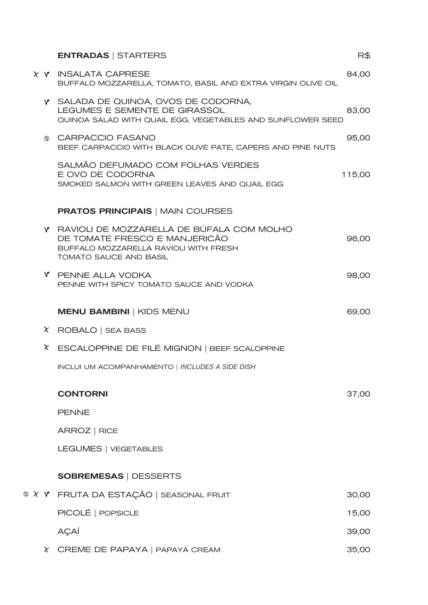| <b>ENTRADAS   STARTERS</b>                                                                                                                      | R\$    |
|-------------------------------------------------------------------------------------------------------------------------------------------------|--------|
| $\chi$ $\gamma$ INSALATA CAPRESE<br>BUFFALO MOZZARELLA, TOMATO, BASIL AND EXTRA VIRGIN OLIVE OIL                                                | 84,00  |
| <b>Y</b> SALADA DE QUINOA, OVOS DE CODORNA,<br>LEGUMES E SEMENTE DE GIRASSOL<br>QUINOA SALAD WITH QUAIL EGG, VEGETABLES AND SUNFLOWER SEED      | 83,00  |
| © CARPACCIO FASANO<br>BEEF CARPACCIO WITH BLACK OLIVE PATE, CAPERS AND PINE NUTS                                                                | 95,00  |
| SALMÃO DEFUMADO COM FOLHAS VERDES<br>E OVO DE CODORNA<br>SMOKED SALMON WITH GREEN LEAVES AND QUAIL EGG                                          | 115,00 |
| <b>PRATOS PRINCIPAIS   MAIN COURSES</b>                                                                                                         |        |
| Y RAVIOLI DE MOZZARELLA DE BUFALA COM MOLHO<br>DE TOMATE FRESCO E MANJERICÃO<br>BUFFALO MOZZARELLA RAVIOLI WITH FRESH<br>TOMATO SAUCE AND BASIL | 96,00  |
| <b>Y</b> PENNE ALLA VODKA<br>PENNE WITH SPICY TOMATO SAUCE AND VODKA                                                                            | 98,00  |
| <b>MENU BAMBINI   KIDS MENU</b>                                                                                                                 | 69,00  |
| $X$ ROBALO   SEA BASS                                                                                                                           |        |
| X ESCALOPPINE DE FILÉ MIGNON   BEEF SCALOPPINE                                                                                                  |        |
| INCLUI UM ACOMPANHAMENTO   INCLUDES A SIDE DISH                                                                                                 |        |
| <b>CONTORNI</b>                                                                                                                                 | 37,00  |
| <b>PENNE</b>                                                                                                                                    |        |
| ARROZ   RICE                                                                                                                                    |        |
| LEGUMES   VEGETABLES                                                                                                                            |        |
|                                                                                                                                                 |        |
| <b>SOBREMESAS   DESSERTS</b>                                                                                                                    |        |
| <b>© X Y</b> FRUTA DA ESTAÇÃO   SEASONAL FRUIT                                                                                                  | 30,00  |
| PICOLE   POPSICLE                                                                                                                               | 15,00  |
| AÇAİ                                                                                                                                            | 39,00  |
| X CREME DE PAPAYA   PAPAYA CREAM                                                                                                                | 35,00  |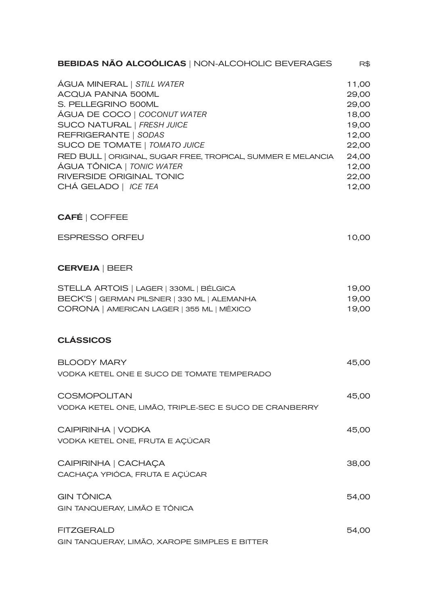| <b>BEBIDAS NÃO ALCOÓLICAS   NON-ALCOHOLIC BEVERAGES</b>                                                                                                                                                                                                                                                                                                      | R\$                                                                                             |
|--------------------------------------------------------------------------------------------------------------------------------------------------------------------------------------------------------------------------------------------------------------------------------------------------------------------------------------------------------------|-------------------------------------------------------------------------------------------------|
| ÁGUA MINERAL   STILL WATER<br><b>ACQUA PANNA 500ML</b><br>S. PELLEGRINO 500ML<br>AGUA DE COCO   COCONUT WATER<br>SUCO NATURAL   FRESH JUICE<br>REFRIGERANTE   SODAS<br>SUCO DE TOMATE   TOMATO JUICE<br>RED BULL   ORIGINAL, SUGAR FREE, TROPICAL, SUMMER E MELANCIA<br>ÁGUA TÔNICA   <i>TONIC WATER</i><br>RIVERSIDE ORIGINAL TONIC<br>CHÁ GELADO   ICE TEA | 11,00<br>29,00<br>29,00<br>18,00<br>19,00<br>12,00<br>22,00<br>24,00<br>12,00<br>22,00<br>12,00 |
| <b>CAFÉ   COFFEE</b>                                                                                                                                                                                                                                                                                                                                         |                                                                                                 |
| <b>ESPRESSO ORFEU</b>                                                                                                                                                                                                                                                                                                                                        | 10,00                                                                                           |
| <b>CERVEJA   BEER</b>                                                                                                                                                                                                                                                                                                                                        |                                                                                                 |
| STELLA ARTOIS   LAGER   330ML   BÉLGICA<br>BECK'S   GERMAN PILSNER   330 ML   ALEMANHA<br>CORONA   AMERICAN LAGER   355 ML   MÉXICO                                                                                                                                                                                                                          | 19,00<br>19,00<br>19,00                                                                         |
| <b>CLASSICOS</b>                                                                                                                                                                                                                                                                                                                                             |                                                                                                 |
| <b>BLOODY MARY</b><br>VODKA KETEL ONE E SUCO DE TOMATE TEMPERADO                                                                                                                                                                                                                                                                                             | 45,00                                                                                           |
| <b>COSMOPOLITAN</b><br>VODKA KETEL ONE, LIMÃO, TRIPLE-SEC E SUCO DE CRANBERRY                                                                                                                                                                                                                                                                                | 45,00                                                                                           |
| CAIPIRINHA   VODKA<br>VODKA KETEL ONE, FRUTA E AÇÚCAR                                                                                                                                                                                                                                                                                                        | 45,00                                                                                           |
| CAIPIRINHA   CACHAÇA<br>CACHAÇA YPIÓCA, FRUTA E AÇÚCAR                                                                                                                                                                                                                                                                                                       | 38,00                                                                                           |
| <b>GIN TÔNICA</b><br>GIN TANQUERAY, LIMÃO E TÔNICA                                                                                                                                                                                                                                                                                                           | 54,00                                                                                           |
| <b>FITZGERALD</b><br>GIN TANQUERAY, LIMÃO, XAROPE SIMPLES E BITTER                                                                                                                                                                                                                                                                                           | 54,00                                                                                           |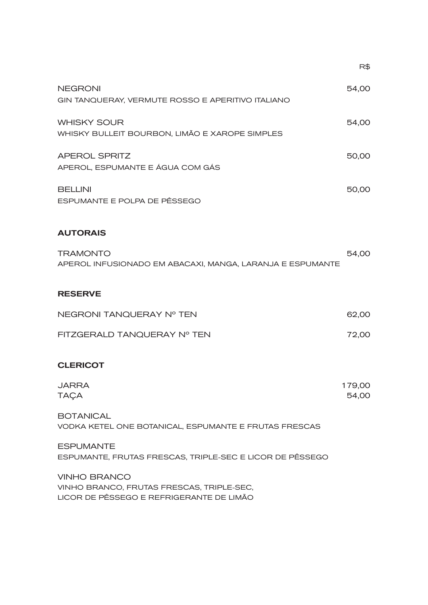|                                                                                                              | R\$             |
|--------------------------------------------------------------------------------------------------------------|-----------------|
| <b>NEGRONI</b><br>GIN TANQUERAY, VERMUTE ROSSO E APERITIVO ITALIANO                                          | 54,00           |
| <b>WHISKY SOUR</b><br>WHISKY BULLEIT BOURBON, LIMÃO E XAROPE SIMPLES                                         | 54,00           |
| <b>APEROL SPRITZ</b><br>APEROL, ESPUMANTE E ÁGUA COM GÁS                                                     | 50,00           |
| <b>BELLINI</b><br>ESPUMANTE E POLPA DE PÊSSEGO                                                               | 50,00           |
| <b>AUTORAIS</b>                                                                                              |                 |
| <b>TRAMONTO</b><br>APEROL INFUSIONADO EM ABACAXI, MANGA, LARANJA E ESPUMANTE                                 | 54,00           |
| <b>RESERVE</b>                                                                                               |                 |
| NEGRONI TANQUERAY Nº TEN                                                                                     | 62,00           |
| FITZGERALD TANQUERAY Nº TEN                                                                                  | 72,00           |
| <b>CLERICOT</b>                                                                                              |                 |
| JARRA<br><b>TAÇA</b>                                                                                         | 179,00<br>54,00 |
| <b>BOTANICAL</b><br>VODKA KETEL ONE BOTANICAL, ESPUMANTE E FRUTAS FRESCAS                                    |                 |
| <b>ESPUMANTE</b><br>ESPUMANTE, FRUTAS FRESCAS, TRIPLE-SEC E LICOR DE PÊSSEGO                                 |                 |
| <b>VINHO BRANCO</b><br>VINHO BRANCO, FRUTAS FRESCAS, TRIPLE-SEC,<br>LICOR DE PÊSSEGO E REFRIGERANTE DE LIMÃO |                 |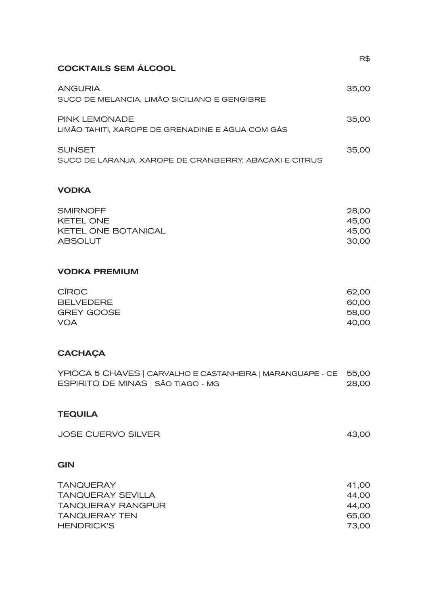| <b>COCKTAILS SEM ÁLCOOL</b>                                             | R\$   |
|-------------------------------------------------------------------------|-------|
| <b>ANGURIA</b><br>SUCO DE MELANCIA, LIMÃO SICILIANO E GENGIBRE          | 35.00 |
| PINK LEMONADE<br>LIMÃO TAHITI. XAROPE DE GRENADINE E ÁGUA COM GÁS       | 35.00 |
| <b>SUNSET</b><br>SUCO DE LARANJA, XAROPE DE CRANBERRY, ABACAXI E CITRUS | 35.00 |

### VODKA

| <b>SMIRNOFF</b>            | 28.00 |
|----------------------------|-------|
| KETEL ONE                  | 45.00 |
| <b>KETEL ONE BOTANICAL</b> | 45.00 |
| ABSOLUT                    | 30.00 |

## VODKA PREMIUM

| 62.00 |
|-------|
| 60,00 |
| 58,00 |
| 40,00 |
|       |

# **CACHAÇA**

|                                    | YPIOCA 5 CHAVES   CARVALHO E CASTANHEIRA   MARANGUAPE - CE 55,00 |       |
|------------------------------------|------------------------------------------------------------------|-------|
| ESPIRITO DE MINAS   SÃO TIAGO - MG |                                                                  | 28,00 |

### TEQUILA

| <b>JOSE CUERVO SILVER</b> | 43.00 |
|---------------------------|-------|
|                           |       |

## GIN

| <b>TANQUERAY</b>         | 41.00 |
|--------------------------|-------|
| TANQUERAY SEVILLA        | 44.00 |
| <b>TANQUERAY RANGPUR</b> | 44.00 |
| TANOUERAY TEN            | 65.00 |
| <b>HENDRICK'S</b>        | 73.00 |
|                          |       |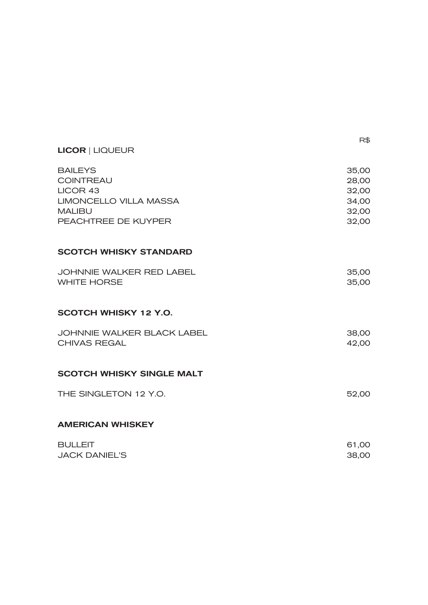| <b>LICOR   LIQUEUR</b>                                                                                           |                                                    |
|------------------------------------------------------------------------------------------------------------------|----------------------------------------------------|
| <b>BAILEYS</b><br><b>COINTREAU</b><br>LICOR 43<br>LIMONCELLO VILLA MASSA<br><b>MALIBU</b><br>PEACHTREE DE KUYPER | 35,00<br>28,00<br>32,00<br>34,00<br>32,00<br>32,00 |
| <b>SCOTCH WHISKY STANDARD</b>                                                                                    |                                                    |
| JOHNNIE WALKER RED LABEL<br><b>WHITE HORSE</b>                                                                   | 35,00<br>35,00                                     |
| SCOTCH WHISKY 12 Y.O.                                                                                            |                                                    |
| JOHNNIE WALKER BLACK LABEL<br>CHIVAS REGAL                                                                       | 38,00<br>42,00                                     |
| <b>SCOTCH WHISKY SINGLE MALT</b>                                                                                 |                                                    |
| THE SINGLETON 12 Y.O.                                                                                            | 52,00                                              |
| <b>AMERICAN WHISKEY</b>                                                                                          |                                                    |
| <b>BULLEIT</b><br><b>JACK DANIEL'S</b>                                                                           | 61,00<br>38,00                                     |

R\$